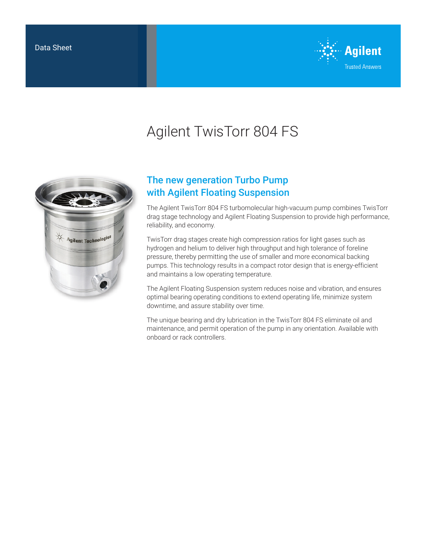

# Agilent TwisTorr 804 FS



### The new generation Turbo Pump with Agilent Floating Suspension

The Agilent TwisTorr 804 FS turbomolecular high-vacuum pump combines TwisTorr drag stage technology and Agilent Floating Suspension to provide high performance, reliability, and economy.

TwisTorr drag stages create high compression ratios for light gases such as hydrogen and helium to deliver high throughput and high tolerance of foreline pressure, thereby permitting the use of smaller and more economical backing pumps. This technology results in a compact rotor design that is energy-efficient and maintains a low operating temperature.

The Agilent Floating Suspension system reduces noise and vibration, and ensures optimal bearing operating conditions to extend operating life, minimize system downtime, and assure stability over time.

The unique bearing and dry lubrication in the TwisTorr 804 FS eliminate oil and maintenance, and permit operation of the pump in any orientation. Available with onboard or rack controllers.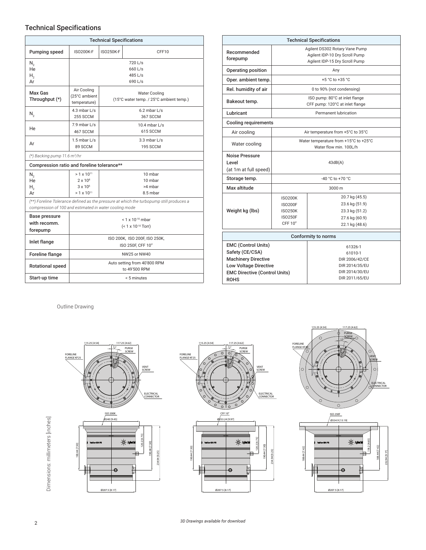#### Technical Specifications

| <b>Technical Specifications</b>                                                                                                                   |                                                                                    |                                                                 |       |  |  |
|---------------------------------------------------------------------------------------------------------------------------------------------------|------------------------------------------------------------------------------------|-----------------------------------------------------------------|-------|--|--|
| Pumping speed                                                                                                                                     | <b>ISO200K-F</b>                                                                   | <b>ISO250K-F</b>                                                | CFF10 |  |  |
| N,<br>He<br>Η,<br>Ar                                                                                                                              | 720 L/s<br>660 L/s<br>485 L/s<br>690 L/s                                           |                                                                 |       |  |  |
| Max Gas<br>Throughput (*)                                                                                                                         | Air Cooling<br>(25°C ambient<br>temperature)                                       | <b>Water Cooling</b><br>(15°C water temp. / 25°C ambient temp.) |       |  |  |
| $N_{2}$                                                                                                                                           | 4.3 mbar $L/s$<br><b>255 SCCM</b>                                                  | $6.2$ mbar $L/s$<br>367 SCCM                                    |       |  |  |
| He                                                                                                                                                | $7.9$ mbar $L/s$<br>467 SCCM                                                       | 10.4 mbar $L/s$<br>615 SCCM                                     |       |  |  |
| Ar                                                                                                                                                | $1.5$ mbar $L/s$<br>89 SCCM                                                        | $3.3$ mbar $L/s$<br><b>195 SCCM</b>                             |       |  |  |
| (*) Backing pump 11.6 m <sup>3</sup> /hr                                                                                                          |                                                                                    |                                                                 |       |  |  |
| Compression ratio and foreline tolerance**                                                                                                        |                                                                                    |                                                                 |       |  |  |
| N,<br>He<br>Н,<br>Ar                                                                                                                              | $> 1 \times 10^{11}$<br>$2 \times 10^8$<br>$3 \times 10^6$<br>$> 1 \times 10^{11}$ | 10 mbar<br>10 mbar<br>>4 mbar<br>8.5 mbar                       |       |  |  |
| (**) Foreline Tolerance defined as the pressure at which the turbopump still produces a<br>compression of 100 and estimated in water cooling mode |                                                                                    |                                                                 |       |  |  |
| <b>Base pressure</b><br>with recomm.<br>forepump                                                                                                  | $< 1 x 10^{-10}$ mbar<br>$(< 1 \times 10^{-10}$ Torr)                              |                                                                 |       |  |  |
| Inlet flange                                                                                                                                      | ISO 200K, ISO 200F, ISO 250K,<br>ISO 250F, CFF 10"                                 |                                                                 |       |  |  |
| Foreline flange                                                                                                                                   | NW25 or NW40                                                                       |                                                                 |       |  |  |
| Rotational speed                                                                                                                                  | Auto setting from 40'800 RPM<br>to 49'500 RPM                                      |                                                                 |       |  |  |
| Start-up time                                                                                                                                     | < 5 minutes                                                                        |                                                                 |       |  |  |

| <b>Technical Specifications</b>                                                                                                                                    |                                                                                                    |                                                                                            |  |  |  |  |
|--------------------------------------------------------------------------------------------------------------------------------------------------------------------|----------------------------------------------------------------------------------------------------|--------------------------------------------------------------------------------------------|--|--|--|--|
| Recommended<br>forepump                                                                                                                                            | Agilent DS302 Rotary Vane Pump<br>Agilent IDP-10 Dry Scroll Pump<br>Agilent IDP-15 Dry Scroll Pump |                                                                                            |  |  |  |  |
| Operating position                                                                                                                                                 | Any                                                                                                |                                                                                            |  |  |  |  |
| Oper. ambient temp.                                                                                                                                                | +5 °C to +35 °C                                                                                    |                                                                                            |  |  |  |  |
| Rel. humidity of air                                                                                                                                               | 0 to 90% (not condensing)                                                                          |                                                                                            |  |  |  |  |
| Bakeout temp.                                                                                                                                                      | ISO pump: 80°C at inlet flange<br>CFF pump: 120°C at inlet flange                                  |                                                                                            |  |  |  |  |
| Lubricant                                                                                                                                                          | Permanent lubrication                                                                              |                                                                                            |  |  |  |  |
| <b>Cooling requirements</b>                                                                                                                                        |                                                                                                    |                                                                                            |  |  |  |  |
| Air cooling                                                                                                                                                        | Air temperature from +5°C to 35°C                                                                  |                                                                                            |  |  |  |  |
| Water cooling                                                                                                                                                      | Water temperature from +15°C to +25°C<br>Water flow min. 100L/h                                    |                                                                                            |  |  |  |  |
| Noise Pressure<br>Level<br>(at 1m at full speed)                                                                                                                   | 43dB(A)                                                                                            |                                                                                            |  |  |  |  |
| Storage temp.                                                                                                                                                      | $-40$ °C to $+70$ °C                                                                               |                                                                                            |  |  |  |  |
| Max altitude                                                                                                                                                       | 3000 m                                                                                             |                                                                                            |  |  |  |  |
| Weight kg (lbs)                                                                                                                                                    | <b>ISO200K</b><br><b>ISO200F</b><br><b>ISO250K</b><br><b>ISO250F</b><br><b>CFF10"</b>              | 20.7 kg (45.5)<br>23.6 kg (51.9)<br>23.3 kg (51.2)<br>27.6 kg (60.9)<br>22.1 kg (48.6)     |  |  |  |  |
| Conformity to norms                                                                                                                                                |                                                                                                    |                                                                                            |  |  |  |  |
| <b>EMC (Control Units)</b><br>Safety (CE/CSA)<br><b>Machinery Directive</b><br><b>Low Voltage Directive</b><br><b>EMC Directive (Control Units)</b><br><b>ROHS</b> |                                                                                                    | 61326-1<br>61010-1<br>DIR 2006/42/CE<br>DIR 2014/35/EU<br>DIR 2014/30/EU<br>DIR 2011/65/EU |  |  |  |  |

Outline Drawing







Ø207.5 [8.17]

Dimensions: millimeters [inches]

Dimensions: millimeters [inches]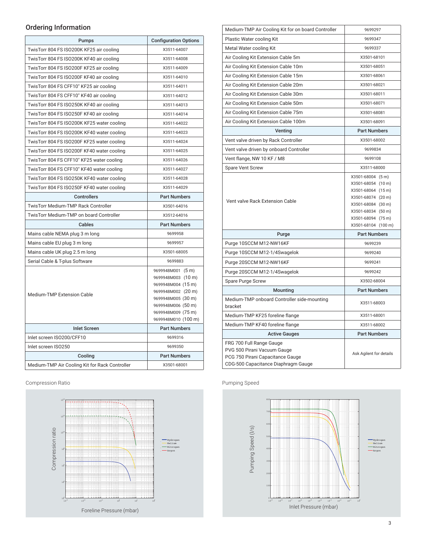#### Ordering Information

| Pumps                                          | <b>Configuration Options</b>                                                                                                                                                 |
|------------------------------------------------|------------------------------------------------------------------------------------------------------------------------------------------------------------------------------|
| TwisTorr 804 FS ISO200K KF25 air cooling       | X3511-64007                                                                                                                                                                  |
| TwisTorr 804 FS ISO200K KF40 air cooling       | X3511-64008                                                                                                                                                                  |
| TwisTorr 804 FS ISO200F KF25 air cooling       | X3511-64009                                                                                                                                                                  |
| TwisTorr 804 FS ISO200F KF40 air cooling       | X3511-64010                                                                                                                                                                  |
| TwisTorr 804 FS CFF10" KF25 air cooling        | X3511-64011                                                                                                                                                                  |
| TwisTorr 804 FS CFF10" KF40 air cooling        | X3511-64012                                                                                                                                                                  |
| TwisTorr 804 FS ISO250K KF40 air cooling       | X3511-64013                                                                                                                                                                  |
| TwisTorr 804 FS ISO250F KF40 air cooling       | X3511-64014                                                                                                                                                                  |
| TwisTorr 804 FS ISO200K KF25 water cooling     | X3511-64022                                                                                                                                                                  |
| TwisTorr 804 FS ISO200K KF40 water cooling     | X3511-64023                                                                                                                                                                  |
| TwisTorr 804 FS ISO200F KF25 water cooling     | X3511-64024                                                                                                                                                                  |
| TwisTorr 804 FS ISO200F KF40 water cooling     | X3511-64025                                                                                                                                                                  |
| TwisTorr 804 FS CFF10" KF25 water cooling      | X3511-64026                                                                                                                                                                  |
| TwisTorr 804 FS CFF10" KF40 water cooling      | X3511-64027                                                                                                                                                                  |
| TwisTorr 804 FS ISO250K KF40 water cooling     | X3511-64028                                                                                                                                                                  |
| TwisTorr 804 FS ISO250F KF40 water cooling     | X3511-64029                                                                                                                                                                  |
| <b>Controllers</b>                             | <b>Part Numbers</b>                                                                                                                                                          |
| TwisTorr Medium-TMP Rack Controller            | X3501-64016                                                                                                                                                                  |
| <b>TwisTorr Medium-TMP on board Controller</b> | X3512-64016                                                                                                                                                                  |
| Cables                                         | <b>Part Numbers</b>                                                                                                                                                          |
| Mains cable NEMA plug 3 m long                 | 9699958                                                                                                                                                                      |
| Mains cable EU plug 3 m long                   | 9699957                                                                                                                                                                      |
| Mains cable UK plug 2.5 m long                 | X3501-68005                                                                                                                                                                  |
| Serial Cable & T-plus Software                 | 9699883                                                                                                                                                                      |
| <b>Medium-TMP Extension Cable</b>              | 9699948M001 (5 m)<br>9699948M003 (10 m)<br>9699948M004 (15 m)<br>9699948M002 (20 m)<br>9699948M005 (30 m)<br>9699948M006 (50 m)<br>9699948M009 (75 m)<br>9699948M010 (100 m) |
| <b>Inlet Screen</b>                            | <b>Part Numbers</b>                                                                                                                                                          |
| Inlet screen ISO200/CFF10                      | 9699316                                                                                                                                                                      |
| Inlet screen ISO250                            | 9699350                                                                                                                                                                      |
| Cooling                                        | <b>Part Numbers</b>                                                                                                                                                          |
| Medium-TMP Air Cooling Kit for Rack Controller | X3501-68001                                                                                                                                                                  |

| Medium-TMP Air Cooling Kit for on board Controller                                                                                 | 9699297                                                                                                                                                                      |
|------------------------------------------------------------------------------------------------------------------------------------|------------------------------------------------------------------------------------------------------------------------------------------------------------------------------|
| Plastic Water cooling Kit                                                                                                          | 9699347                                                                                                                                                                      |
| Metal Water cooling Kit                                                                                                            | 9699337                                                                                                                                                                      |
| Air Cooling Kit Extension Cable 5m                                                                                                 | X3501-68101                                                                                                                                                                  |
| Air Cooling Kit Extension Cable 10m                                                                                                | X3501-68051                                                                                                                                                                  |
| Air Cooling Kit Extension Cable 15m                                                                                                | X3501-68061                                                                                                                                                                  |
| Air Cooling Kit Extension Cable 20m                                                                                                | X3501-68021                                                                                                                                                                  |
| Air Cooling Kit Extension Cable 30m                                                                                                | X3501-68011                                                                                                                                                                  |
| Air Cooling Kit Extension Cable 50m                                                                                                | X3501-68071                                                                                                                                                                  |
| Air Cooling Kit Extension Cable 75m                                                                                                | X3501-68081                                                                                                                                                                  |
| Air Cooling Kit Extension Cable 100m                                                                                               | X3501-68091                                                                                                                                                                  |
| Venting                                                                                                                            | <b>Part Numbers</b>                                                                                                                                                          |
| Vent valve driven by Rack Controller                                                                                               | X3501-68002                                                                                                                                                                  |
| Vent valve driven by onboard Controller                                                                                            | 9699834                                                                                                                                                                      |
| Vent flange, NW 10 KF / M8                                                                                                         | 9699108                                                                                                                                                                      |
| <b>Spare Vent Screw</b>                                                                                                            | X3511-68000                                                                                                                                                                  |
| Vent valve Rack Extension Cable                                                                                                    | X3501-68004 (5 m)<br>X3501-68054 (10 m)<br>X3501-68064 (15 m)<br>X3501-68074 (20 m)<br>X3501-68084 (30 m)<br>X3501-68034 (50 m)<br>X3501-68094 (75 m)<br>X3501-68104 (100 m) |
| Purge                                                                                                                              | <b>Part Numbers</b>                                                                                                                                                          |
| Purge 10SCCM M12-NW16KF                                                                                                            | 9699239                                                                                                                                                                      |
| Purge 10SCCM M12-1/4Swagelok                                                                                                       | 9699240                                                                                                                                                                      |
| Purge 20SCCM M12-NW16KF                                                                                                            | 9699241                                                                                                                                                                      |
| Purge 20SCCM M12-1/4Swagelok                                                                                                       | 9699242                                                                                                                                                                      |
| Spare Purge Screw                                                                                                                  | X3502-68004                                                                                                                                                                  |
| Mounting                                                                                                                           | <b>Part Numbers</b>                                                                                                                                                          |
| Medium-TMP onboard Controller side-mounting<br>bracket                                                                             | X3511-68003                                                                                                                                                                  |
| Medium-TMP KF25 foreline flange                                                                                                    | X3511-68001                                                                                                                                                                  |
| Medium-TMP KF40 foreline flange                                                                                                    | X3511-68002                                                                                                                                                                  |
| <b>Active Gauges</b>                                                                                                               | <b>Part Numbers</b>                                                                                                                                                          |
| FRG 700 Full Range Gauge<br>PVG 500 Pirani Vacuum Gauge<br>PCG 750 Pirani Capacitance Gauge<br>CDG-500 Capacitance Diaphragm Gauge | Ask Agilent for details                                                                                                                                                      |

Compression Ratio **Pumping Speed**